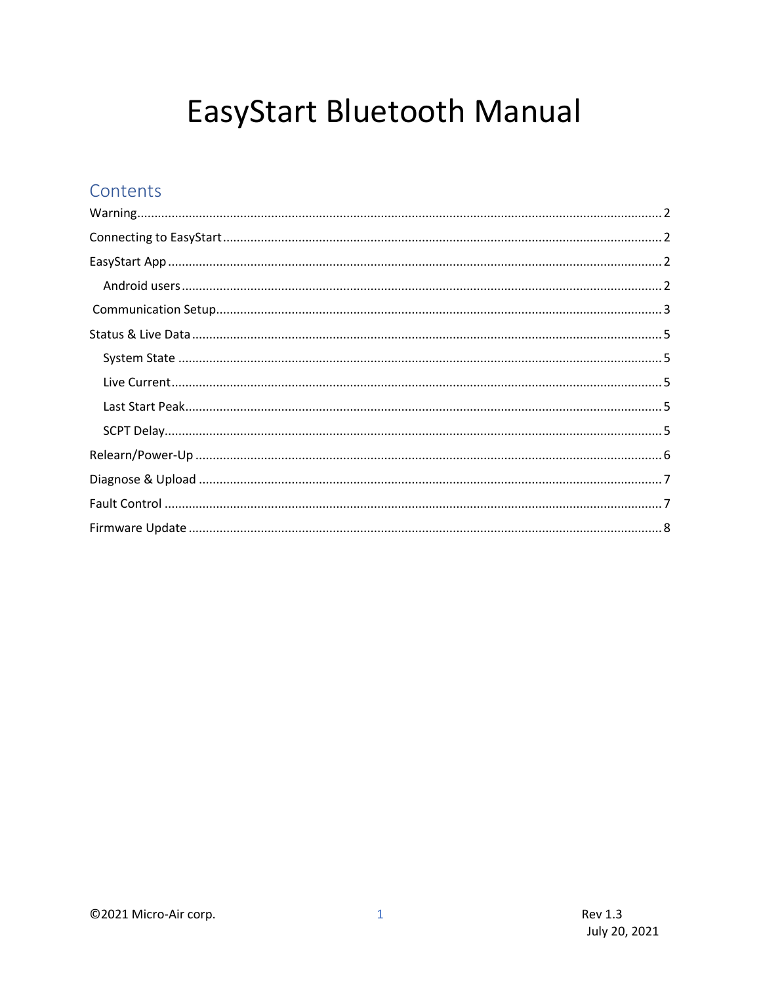# EasyStart Bluetooth Manual

### Contents

| $\text{Warning} \textit{} \textit{} \textit{} \textit{} \textit{} \textit{} \textit{} \textit{} \textit{} \textit{} \textit{} \textit{} \textit{} \textit{} \textit{} \textit{} \textit{} \textit{} \textit{} \textit{} \textit{} \textit{} \textit{} \textit{} \textit{} \textit{} \textit{} \textit{} \textit{} \textit{} \textit{} \textit{} \textit{} \textit{} \textit{} \textit{$ |  |
|-----------------------------------------------------------------------------------------------------------------------------------------------------------------------------------------------------------------------------------------------------------------------------------------------------------------------------------------------------------------------------------------|--|
|                                                                                                                                                                                                                                                                                                                                                                                         |  |
|                                                                                                                                                                                                                                                                                                                                                                                         |  |
|                                                                                                                                                                                                                                                                                                                                                                                         |  |
|                                                                                                                                                                                                                                                                                                                                                                                         |  |
|                                                                                                                                                                                                                                                                                                                                                                                         |  |
|                                                                                                                                                                                                                                                                                                                                                                                         |  |
|                                                                                                                                                                                                                                                                                                                                                                                         |  |
|                                                                                                                                                                                                                                                                                                                                                                                         |  |
|                                                                                                                                                                                                                                                                                                                                                                                         |  |
|                                                                                                                                                                                                                                                                                                                                                                                         |  |
|                                                                                                                                                                                                                                                                                                                                                                                         |  |
|                                                                                                                                                                                                                                                                                                                                                                                         |  |
|                                                                                                                                                                                                                                                                                                                                                                                         |  |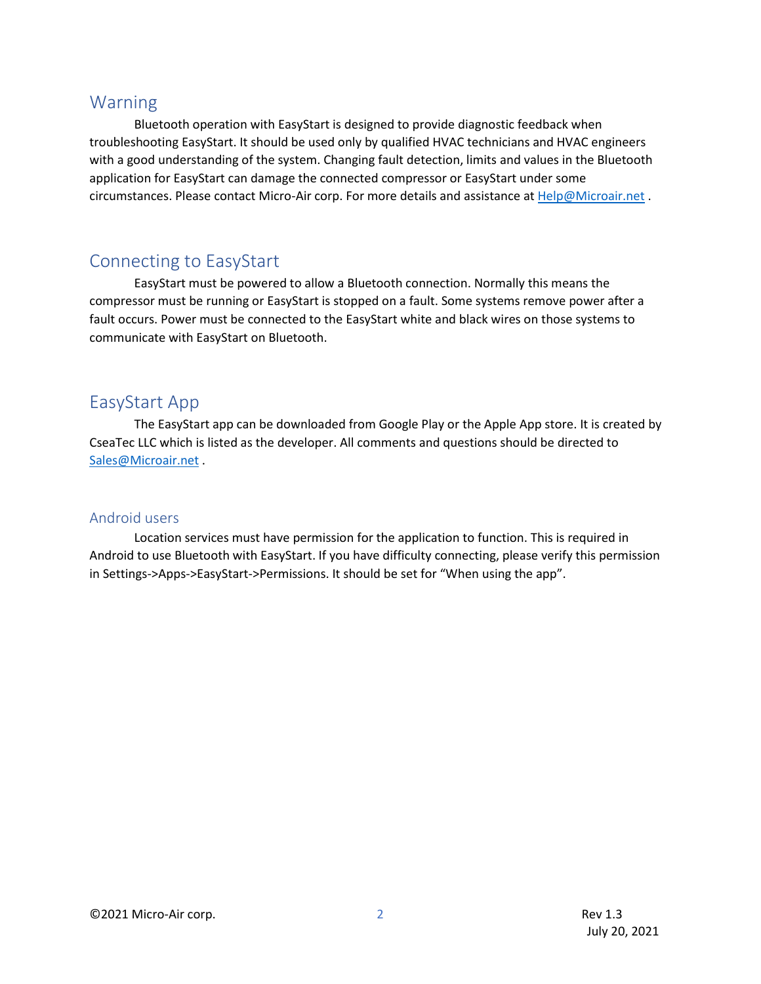### <span id="page-1-0"></span>Warning

Bluetooth operation with EasyStart is designed to provide diagnostic feedback when troubleshooting EasyStart. It should be used only by qualified HVAC technicians and HVAC engineers with a good understanding of the system. Changing fault detection, limits and values in the Bluetooth application for EasyStart can damage the connected compressor or EasyStart under some circumstances. Please contact Micro-Air corp. For more details and assistance a[t Help@Microair.net](mailto:Help@Microair.net) .

### <span id="page-1-1"></span>Connecting to EasyStart

EasyStart must be powered to allow a Bluetooth connection. Normally this means the compressor must be running or EasyStart is stopped on a fault. Some systems remove power after a fault occurs. Power must be connected to the EasyStart white and black wires on those systems to communicate with EasyStart on Bluetooth.

### <span id="page-1-2"></span>EasyStart App

The EasyStart app can be downloaded from Google Play or the Apple App store. It is created by CseaTec LLC which is listed as the developer. All comments and questions should be directed to [Sales@Microair.net](mailto:Sales@Microair.net) .

#### <span id="page-1-3"></span>Android users

Location services must have permission for the application to function. This is required in Android to use Bluetooth with EasyStart. If you have difficulty connecting, please verify this permission in Settings->Apps->EasyStart->Permissions. It should be set for "When using the app".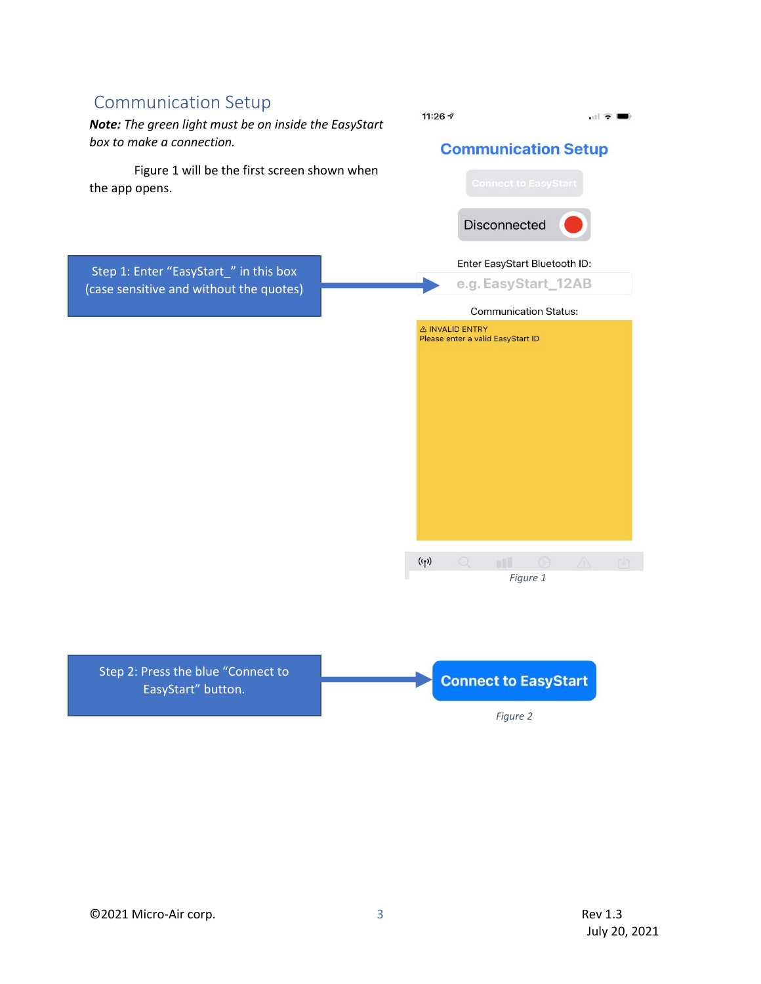## <span id="page-2-0"></span>Communication Setup 11:26  $\sim$  $\mathbf{H} \in \mathbf{H}$ *Note: The green light must be on inside the EasyStart box to make a connection.* **Communication Setup** Figure 1 will be the first screen shown when the app opens. Disconnected Enter EasyStart Bluetooth ID: Step 1: Enter "EasyStart\_" in this box e.g. EasyStart\_12AB (case sensitive and without the quotes) **Communication Status:** A INVALID ENTRY Please enter a valid EasyStart ID  $(\mathbf{r})$ *Figure 1* Step 2: Press the blue "Connect to **Connect to EasyStart** EasyStart" button. *Figure 2*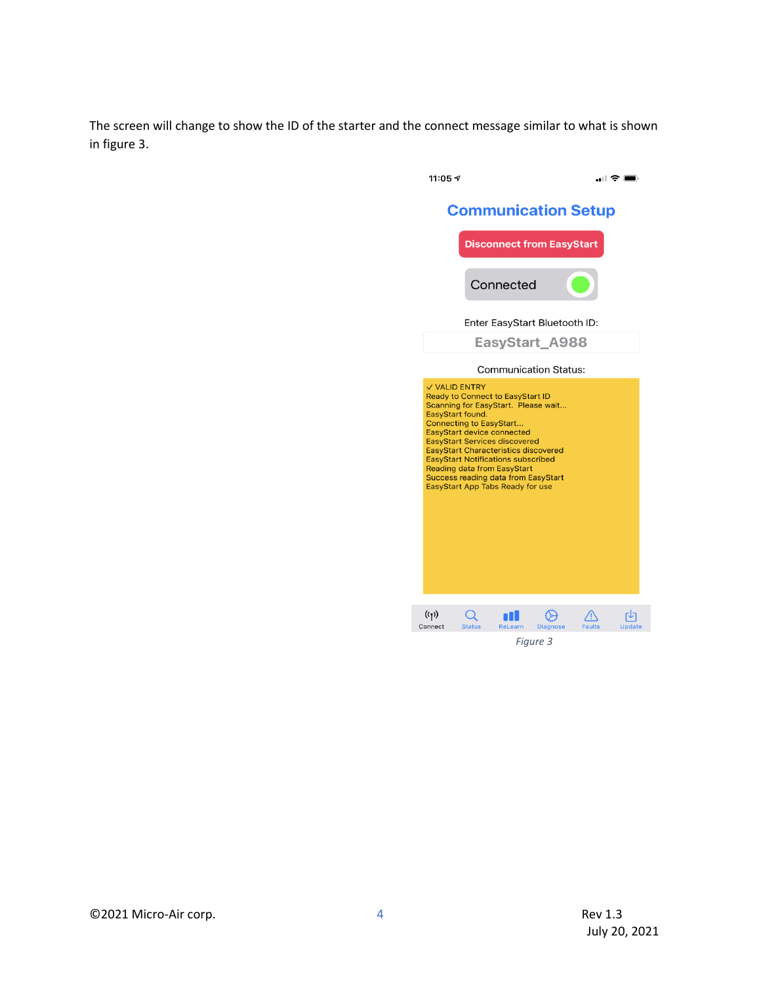The screen will change to show the ID of the starter and the connect message similar to what is shown in figure 3.



*Figure 3*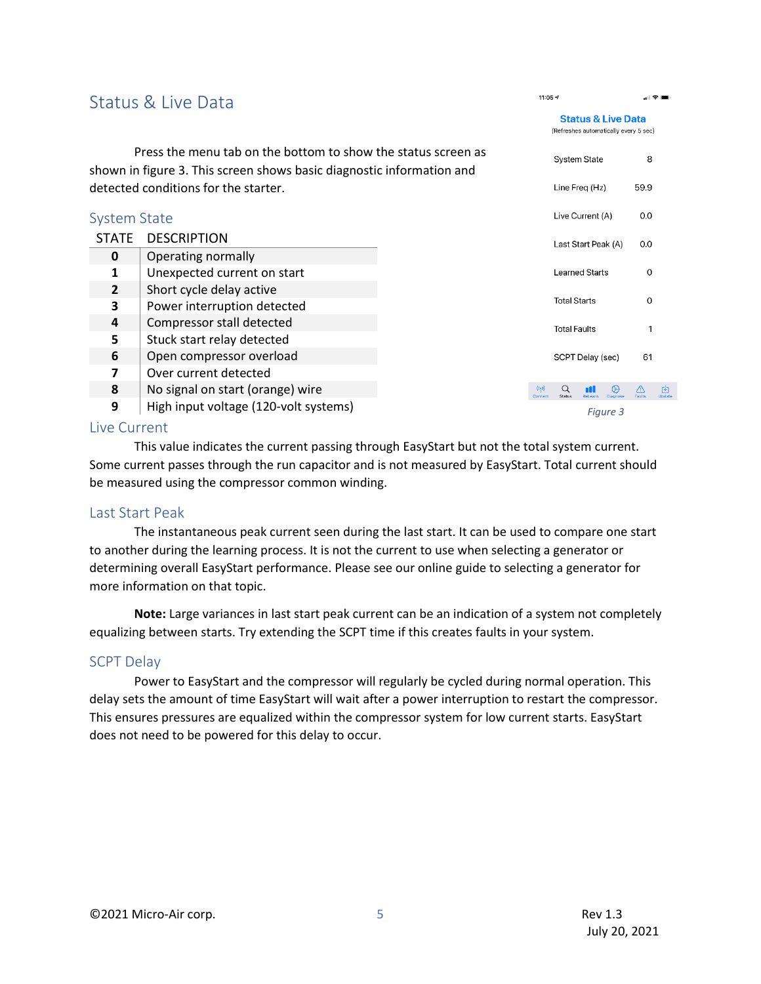<span id="page-4-1"></span><span id="page-4-0"></span>

| Status & Live Data                                                                                                                     |                                       |  | 11:05 $\sqrt{ }$         |                                                                        |              |
|----------------------------------------------------------------------------------------------------------------------------------------|---------------------------------------|--|--------------------------|------------------------------------------------------------------------|--------------|
|                                                                                                                                        |                                       |  |                          | <b>Status &amp; Live Data</b><br>(Refreshes automatically every 5 sec) |              |
| Press the menu tab on the bottom to show the status screen as<br>shown in figure 3. This screen shows basic diagnostic information and |                                       |  |                          | <b>System State</b>                                                    | 8            |
| detected conditions for the starter.                                                                                                   |                                       |  |                          | Line Freg (Hz)                                                         | 59.9         |
| <b>System State</b>                                                                                                                    |                                       |  |                          | Live Current (A)                                                       | 0.0          |
| <b>STATE</b>                                                                                                                           | <b>DESCRIPTION</b>                    |  |                          | Last Start Peak (A)                                                    | 0.0          |
| $\mathbf{0}$                                                                                                                           | Operating normally                    |  |                          |                                                                        |              |
| 1                                                                                                                                      | Unexpected current on start           |  |                          | <b>Learned Starts</b>                                                  | 0            |
| $\overline{2}$                                                                                                                         | Short cycle delay active              |  |                          |                                                                        |              |
| 3                                                                                                                                      | Power interruption detected           |  | <b>Total Starts</b>      |                                                                        | $\Omega$     |
| 4                                                                                                                                      | Compressor stall detected             |  | <b>Total Faults</b><br>1 |                                                                        |              |
| 5                                                                                                                                      | Stuck start relay detected            |  |                          |                                                                        |              |
| 6                                                                                                                                      | Open compressor overload              |  |                          | SCPT Delay (sec)                                                       | 61           |
| $\overline{\mathbf{z}}$                                                                                                                | Over current detected                 |  |                          |                                                                        |              |
| 8                                                                                                                                      | No signal on start (orange) wire      |  | (0, 0)<br>Q<br>Status    |                                                                        | শি<br>Undate |
| 9                                                                                                                                      | High input voltage (120-volt systems) |  |                          | Figure 3                                                               |              |

#### <span id="page-4-2"></span>Live Current

This value indicates the current passing through EasyStart but not the total system current. Some current passes through the run capacitor and is not measured by EasyStart. Total current should be measured using the compressor common winding.

#### <span id="page-4-3"></span>Last Start Peak

The instantaneous peak current seen during the last start. It can be used to compare one start to another during the learning process. It is not the current to use when selecting a generator or determining overall EasyStart performance. Please see our online guide to selecting a generator for more information on that topic.

**Note:** Large variances in last start peak current can be an indication of a system not completely equalizing between starts. Try extending the SCPT time if this creates faults in your system.

#### <span id="page-4-4"></span>SCPT Delay

Power to EasyStart and the compressor will regularly be cycled during normal operation. This delay sets the amount of time EasyStart will wait after a power interruption to restart the compressor. This ensures pressures are equalized within the compressor system for low current starts. EasyStart does not need to be powered for this delay to occur.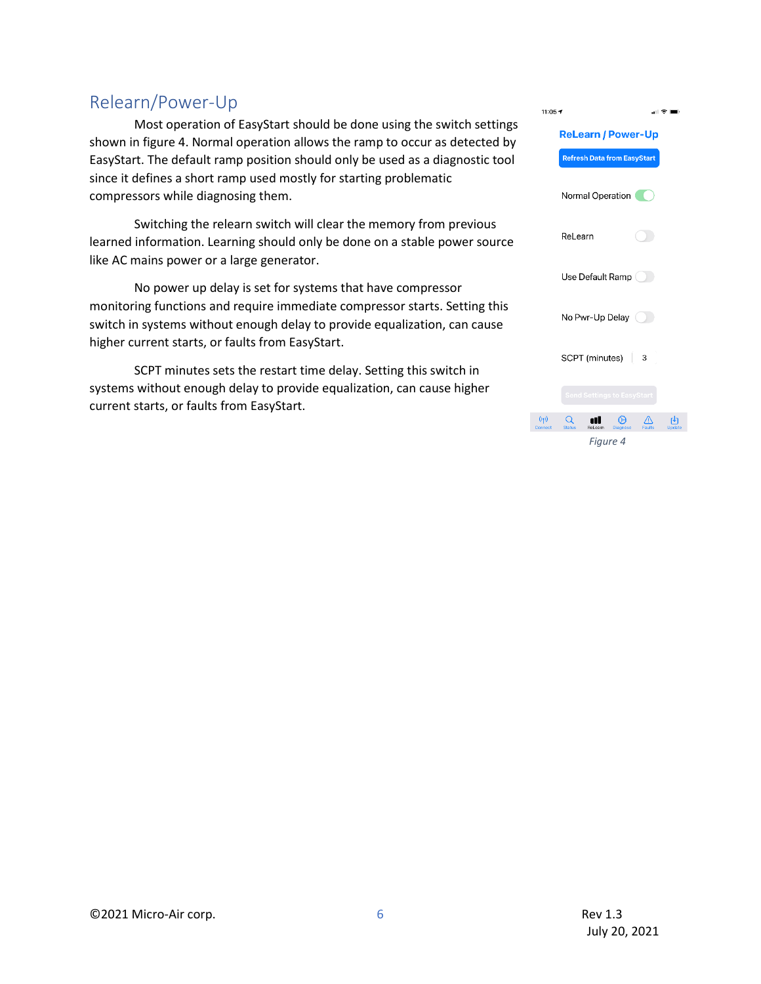### <span id="page-5-0"></span>Relearn/Power-Up

Most operation of EasyStart should be done using the switch settings shown in figure 4. Normal operation allows the ramp to occur as detected by EasyStart. The default ramp position should only be used as a diagnostic tool since it defines a short ramp used mostly for starting problematic compressors while diagnosing them.

Switching the relearn switch will clear the memory from previous learned information. Learning should only be done on a stable power source like AC mains power or a large generator.

No power up delay is set for systems that have compressor monitoring functions and require immediate compressor starts. Setting this switch in systems without enough delay to provide equalization, can cause higher current starts, or faults from EasyStart.

SCPT minutes sets the restart time delay. Setting this switch in systems without enough delay to provide equalization, can cause higher current starts, or faults from EasyStart.

| $11:05 +$      |                                              | 페 호 ■ |
|----------------|----------------------------------------------|-------|
|                | <b>ReLearn / Power-Up</b>                    |       |
|                | <b>Refresh Data from EasyStart</b>           |       |
|                | Normal Operation                             |       |
|                | ReLearn                                      |       |
|                | Use Default Ramp (                           |       |
|                | No Pwr-Up Delay                              |       |
|                | SCPT (minutes)<br>$\overline{\phantom{a}}$ 3 |       |
|                | <b>Send Settings to EasyStart</b>            |       |
| (1)<br>Connect | Status                                       |       |
|                | Figure 4                                     |       |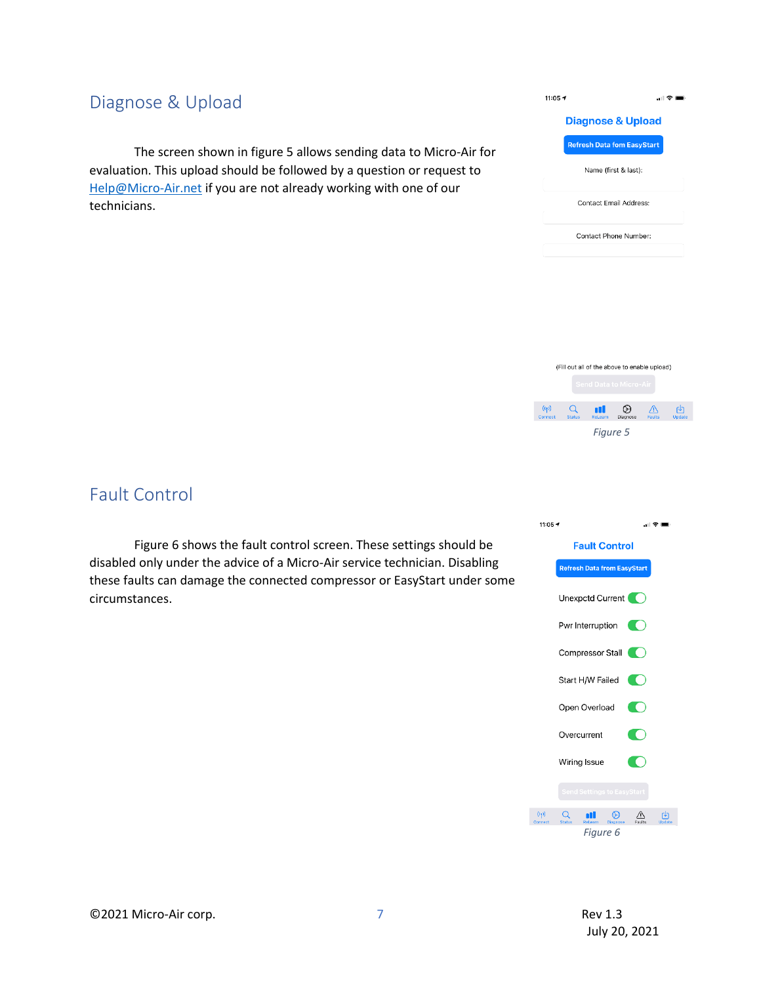### <span id="page-6-0"></span>Diagnose & Upload

The screen shown in figure 5 allows sending data to Micro-Air for evaluation. This upload should be followed by a question or request to [Help@Micro-Air.net](mailto:Help@Micro-Air.net) if you are not already working with one of our technicians.



**Diagnose & Upload Refresh Data fom EasyStart** 

Name (first & last):

Contact Email Address:

Contact Phone Number:

11:05  $\tau$ 

計令車

### <span id="page-6-1"></span>Fault Control

Figure 6 shows the fault control screen. These settings should be disabled only under the advice of a Micro-Air service technician. Disabling these faults can damage the connected compressor or EasyStart under some circumstances.